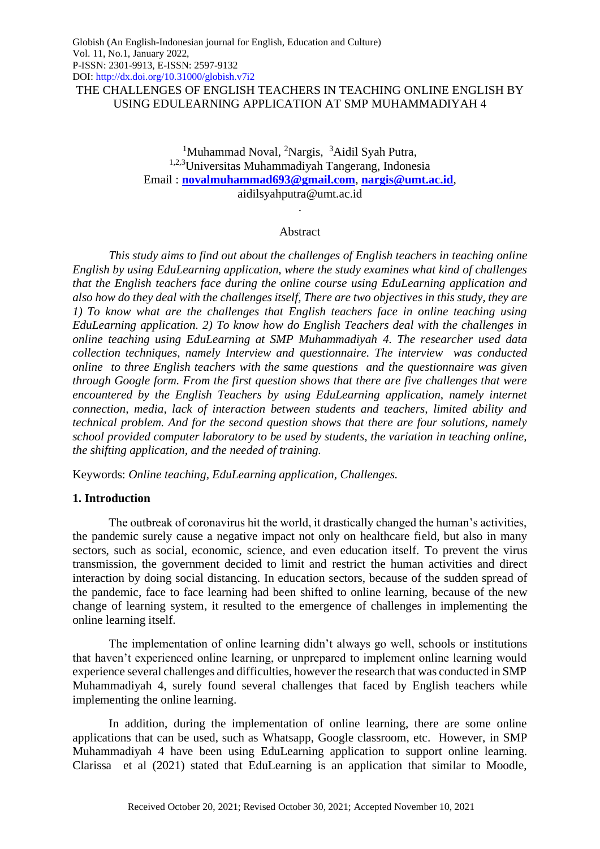THE CHALLENGES OF ENGLISH TEACHERS IN TEACHING ONLINE ENGLISH BY USING EDULEARNING APPLICATION AT SMP MUHAMMADIYAH 4

> <sup>1</sup>Muhammad Noval, <sup>2</sup>Nargis, <sup>3</sup>Aidil Syah Putra, 1,2,3Universitas Muhammadiyah Tangerang, Indonesia Email : **[novalmuhammad693@gmail.com](mailto:novalmuhammad693@gmail.com)**, **[nargis@umt.ac.id](mailto:nargis@umt.ac.id)**, aidilsyahputra@umt.ac.id

#### Abstract

.

*This study aims to find out about the challenges of English teachers in teaching online English by using EduLearning application, where the study examines what kind of challenges that the English teachers face during the online course using EduLearning application and also how do they deal with the challenges itself, There are two objectives in this study, they are 1) To know what are the challenges that English teachers face in online teaching using EduLearning application. 2) To know how do English Teachers deal with the challenges in online teaching using EduLearning at SMP Muhammadiyah 4. The researcher used data collection techniques, namely Interview and questionnaire. The interview was conducted online to three English teachers with the same questions and the questionnaire was given through Google form. From the first question shows that there are five challenges that were encountered by the English Teachers by using EduLearning application, namely internet connection, media, lack of interaction between students and teachers, limited ability and technical problem. And for the second question shows that there are four solutions, namely school provided computer laboratory to be used by students, the variation in teaching online, the shifting application, and the needed of training.*

Keywords: *Online teaching, EduLearning application, Challenges.*

## **1. Introduction**

The outbreak of coronavirus hit the world, it drastically changed the human's activities, the pandemic surely cause a negative impact not only on healthcare field, but also in many sectors, such as social, economic, science, and even education itself. To prevent the virus transmission, the government decided to limit and restrict the human activities and direct interaction by doing social distancing. In education sectors, because of the sudden spread of the pandemic, face to face learning had been shifted to online learning, because of the new change of learning system, it resulted to the emergence of challenges in implementing the online learning itself.

The implementation of online learning didn't always go well, schools or institutions that haven't experienced online learning, or unprepared to implement online learning would experience several challenges and difficulties, however the research that was conducted in SMP Muhammadiyah 4, surely found several challenges that faced by English teachers while implementing the online learning.

In addition, during the implementation of online learning, there are some online applications that can be used, such as Whatsapp, Google classroom, etc. However, in SMP Muhammadiyah 4 have been using EduLearning application to support online learning. Clarissa et al (2021) stated that EduLearning is an application that similar to Moodle,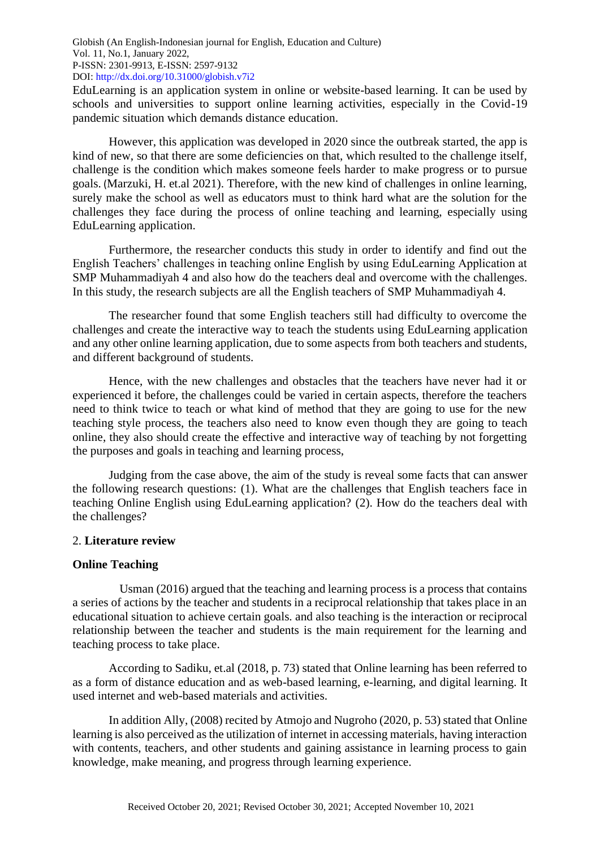EduLearning is an application system in online or website-based learning. It can be used by schools and universities to support online learning activities, especially in the Covid-19 pandemic situation which demands distance education.

However, this application was developed in 2020 since the outbreak started, the app is kind of new, so that there are some deficiencies on that, which resulted to the challenge itself, challenge is the condition which makes someone feels harder to make progress or to pursue goals. (Marzuki, H. et.al 2021). Therefore, with the new kind of challenges in online learning, surely make the school as well as educators must to think hard what are the solution for the challenges they face during the process of online teaching and learning, especially using EduLearning application.

Furthermore, the researcher conducts this study in order to identify and find out the English Teachers' challenges in teaching online English by using EduLearning Application at SMP Muhammadiyah 4 and also how do the teachers deal and overcome with the challenges. In this study, the research subjects are all the English teachers of SMP Muhammadiyah 4.

The researcher found that some English teachers still had difficulty to overcome the challenges and create the interactive way to teach the students using EduLearning application and any other online learning application, due to some aspects from both teachers and students, and different background of students.

Hence, with the new challenges and obstacles that the teachers have never had it or experienced it before, the challenges could be varied in certain aspects, therefore the teachers need to think twice to teach or what kind of method that they are going to use for the new teaching style process, the teachers also need to know even though they are going to teach online, they also should create the effective and interactive way of teaching by not forgetting the purposes and goals in teaching and learning process,

Judging from the case above, the aim of the study is reveal some facts that can answer the following research questions: (1). What are the challenges that English teachers face in teaching Online English using EduLearning application? (2). How do the teachers deal with the challenges?

#### 2. **Literature review**

#### **Online Teaching**

Usman (2016) argued that the teaching and learning process is a process that contains a series of actions by the teacher and students in a reciprocal relationship that takes place in an educational situation to achieve certain goals. and also teaching is the interaction or reciprocal relationship between the teacher and students is the main requirement for the learning and teaching process to take place.

According to Sadiku, et.al (2018, p. 73) stated that Online learning has been referred to as a form of distance education and as web-based learning, e-learning, and digital learning. It used internet and web-based materials and activities.

In addition Ally, (2008) recited by Atmojo and Nugroho (2020, p. 53) stated that Online learning is also perceived as the utilization of internet in accessing materials, having interaction with contents, teachers, and other students and gaining assistance in learning process to gain knowledge, make meaning, and progress through learning experience.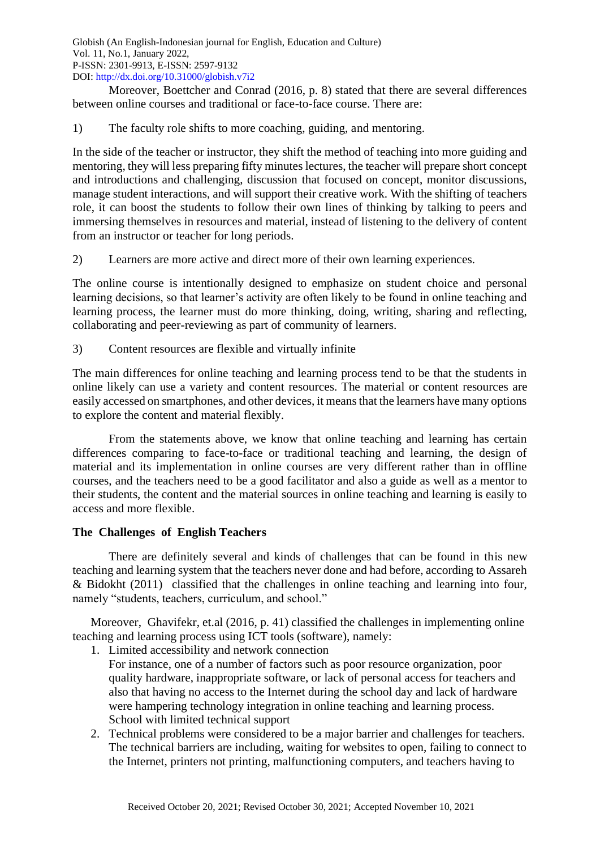Moreover, Boettcher and Conrad (2016, p. 8) stated that there are several differences between online courses and traditional or face-to-face course. There are:

1) The faculty role shifts to more coaching, guiding, and mentoring.

In the side of the teacher or instructor, they shift the method of teaching into more guiding and mentoring, they will less preparing fifty minutes lectures, the teacher will prepare short concept and introductions and challenging, discussion that focused on concept, monitor discussions, manage student interactions, and will support their creative work. With the shifting of teachers role, it can boost the students to follow their own lines of thinking by talking to peers and immersing themselves in resources and material, instead of listening to the delivery of content from an instructor or teacher for long periods.

2) Learners are more active and direct more of their own learning experiences.

The online course is intentionally designed to emphasize on student choice and personal learning decisions, so that learner's activity are often likely to be found in online teaching and learning process, the learner must do more thinking, doing, writing, sharing and reflecting, collaborating and peer-reviewing as part of community of learners.

3) Content resources are flexible and virtually infinite

The main differences for online teaching and learning process tend to be that the students in online likely can use a variety and content resources. The material or content resources are easily accessed on smartphones, and other devices, it means that the learners have many options to explore the content and material flexibly.

From the statements above, we know that online teaching and learning has certain differences comparing to face-to-face or traditional teaching and learning, the design of material and its implementation in online courses are very different rather than in offline courses, and the teachers need to be a good facilitator and also a guide as well as a mentor to their students, the content and the material sources in online teaching and learning is easily to access and more flexible.

# **The Challenges of English Teachers**

There are definitely several and kinds of challenges that can be found in this new teaching and learning system that the teachers never done and had before, according to Assareh & Bidokht (2011) classified that the challenges in online teaching and learning into four, namely "students, teachers, curriculum, and school."

Moreover, Ghavifekr, et.al (2016, p. 41) classified the challenges in implementing online teaching and learning process using ICT tools (software), namely:

- 1. Limited accessibility and network connection
	- For instance, one of a number of factors such as poor resource organization, poor quality hardware, inappropriate software, or lack of personal access for teachers and also that having no access to the Internet during the school day and lack of hardware were hampering technology integration in online teaching and learning process. School with limited technical support
- 2. Technical problems were considered to be a major barrier and challenges for teachers. The technical barriers are including, waiting for websites to open, failing to connect to the Internet, printers not printing, malfunctioning computers, and teachers having to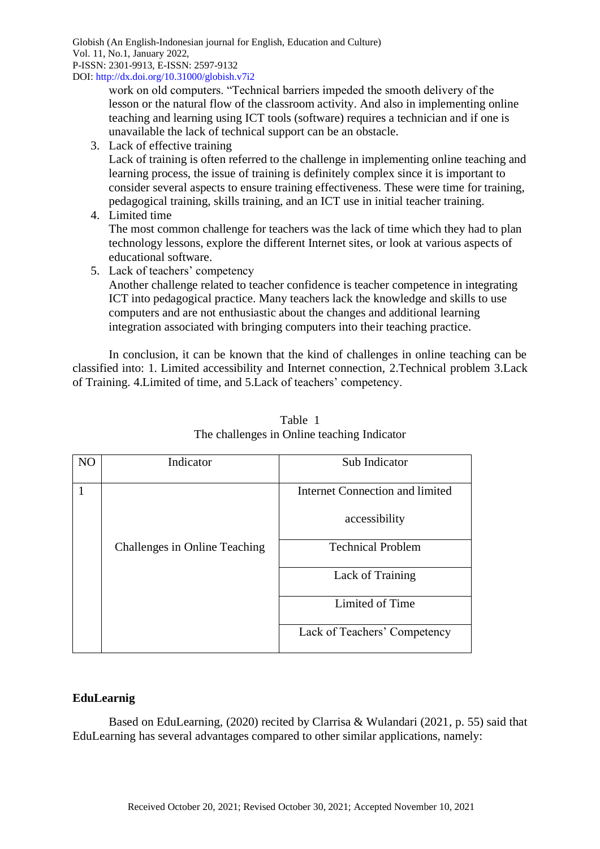work on old computers. "Technical barriers impeded the smooth delivery of the lesson or the natural flow of the classroom activity. And also in implementing online teaching and learning using ICT tools (software) requires a technician and if one is unavailable the lack of technical support can be an obstacle.

3. Lack of effective training

Lack of training is often referred to the challenge in implementing online teaching and learning process, the issue of training is definitely complex since it is important to consider several aspects to ensure training effectiveness. These were time for training, pedagogical training, skills training, and an ICT use in initial teacher training.

4. Limited time

The most common challenge for teachers was the lack of time which they had to plan technology lessons, explore the different Internet sites, or look at various aspects of educational software.

5. Lack of teachers' competency

Another challenge related to teacher confidence is teacher competence in integrating ICT into pedagogical practice. Many teachers lack the knowledge and skills to use computers and are not enthusiastic about the changes and additional learning integration associated with bringing computers into their teaching practice.

In conclusion, it can be known that the kind of challenges in online teaching can be classified into: 1. Limited accessibility and Internet connection, 2.Technical problem 3.Lack of Training. 4.Limited of time, and 5.Lack of teachers' competency.

| N <sub>O</sub> | Indicator                     | Sub Indicator                   |
|----------------|-------------------------------|---------------------------------|
|                |                               | Internet Connection and limited |
|                |                               | accessibility                   |
|                | Challenges in Online Teaching | <b>Technical Problem</b>        |
|                |                               | Lack of Training                |
|                |                               | Limited of Time                 |
|                |                               | Lack of Teachers' Competency    |

Table 1 The challenges in Online teaching Indicator

# **EduLearnig**

Based on EduLearning, (2020) recited by Clarrisa & Wulandari (2021, p. 55) said that EduLearning has several advantages compared to other similar applications, namely: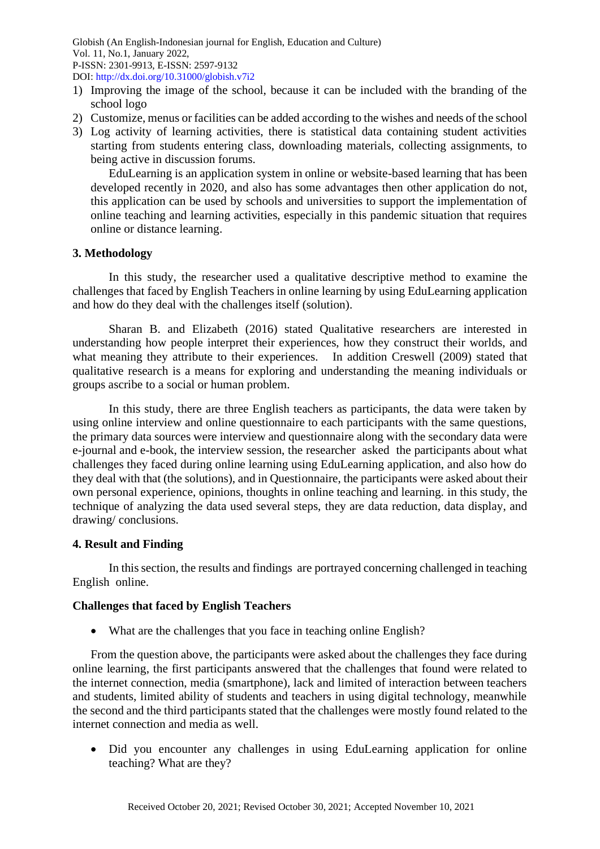- 1) Improving the image of the school, because it can be included with the branding of the school logo
- 2) Customize, menus or facilities can be added according to the wishes and needs of the school
- 3) Log activity of learning activities, there is statistical data containing student activities starting from students entering class, downloading materials, collecting assignments, to being active in discussion forums.

EduLearning is an application system in online or website-based learning that has been developed recently in 2020, and also has some advantages then other application do not, this application can be used by schools and universities to support the implementation of online teaching and learning activities, especially in this pandemic situation that requires online or distance learning.

# **3. Methodology**

In this study, the researcher used a qualitative descriptive method to examine the challenges that faced by English Teachers in online learning by using EduLearning application and how do they deal with the challenges itself (solution).

Sharan B. and Elizabeth (2016) stated Qualitative researchers are interested in understanding how people interpret their experiences, how they construct their worlds, and what meaning they attribute to their experiences. In addition Creswell (2009) stated that qualitative research is a means for exploring and understanding the meaning individuals or groups ascribe to a social or human problem.

In this study, there are three English teachers as participants, the data were taken by using online interview and online questionnaire to each participants with the same questions, the primary data sources were interview and questionnaire along with the secondary data were e-journal and e-book, the interview session, the researcher asked the participants about what challenges they faced during online learning using EduLearning application, and also how do they deal with that (the solutions), and in Questionnaire, the participants were asked about their own personal experience, opinions, thoughts in online teaching and learning. in this study, the technique of analyzing the data used several steps, they are data reduction, data display, and drawing/ conclusions.

## **4. Result and Finding**

In this section, the results and findings are portrayed concerning challenged in teaching English online.

## **Challenges that faced by English Teachers**

• What are the challenges that you face in teaching online English?

From the question above, the participants were asked about the challenges they face during online learning, the first participants answered that the challenges that found were related to the internet connection, media (smartphone), lack and limited of interaction between teachers and students, limited ability of students and teachers in using digital technology, meanwhile the second and the third participants stated that the challenges were mostly found related to the internet connection and media as well.

• Did you encounter any challenges in using EduLearning application for online teaching? What are they?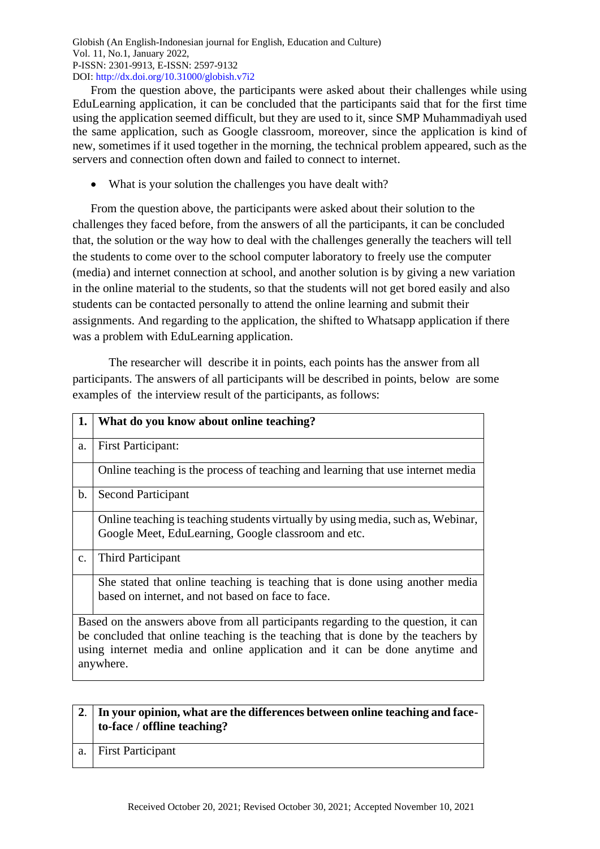From the question above, the participants were asked about their challenges while using EduLearning application, it can be concluded that the participants said that for the first time using the application seemed difficult, but they are used to it, since SMP Muhammadiyah used the same application, such as Google classroom, moreover, since the application is kind of new, sometimes if it used together in the morning, the technical problem appeared, such as the servers and connection often down and failed to connect to internet.

• What is your solution the challenges you have dealt with?

From the question above, the participants were asked about their solution to the challenges they faced before, from the answers of all the participants, it can be concluded that, the solution or the way how to deal with the challenges generally the teachers will tell the students to come over to the school computer laboratory to freely use the computer (media) and internet connection at school, and another solution is by giving a new variation in the online material to the students, so that the students will not get bored easily and also students can be contacted personally to attend the online learning and submit their assignments. And regarding to the application, the shifted to Whatsapp application if there was a problem with EduLearning application.

The researcher will describe it in points, each points has the answer from all participants. The answers of all participants will be described in points, below are some examples of the interview result of the participants, as follows:

| 1.                                                                                                                                                                                                                                                                 | What do you know about online teaching?                                                                                                 |
|--------------------------------------------------------------------------------------------------------------------------------------------------------------------------------------------------------------------------------------------------------------------|-----------------------------------------------------------------------------------------------------------------------------------------|
| a.                                                                                                                                                                                                                                                                 | <b>First Participant:</b>                                                                                                               |
|                                                                                                                                                                                                                                                                    | Online teaching is the process of teaching and learning that use internet media                                                         |
| $\mathbf b$ .                                                                                                                                                                                                                                                      | <b>Second Participant</b>                                                                                                               |
|                                                                                                                                                                                                                                                                    | Online teaching is teaching students virtually by using media, such as, Webinar,<br>Google Meet, EduLearning, Google classroom and etc. |
| $C_{\bullet}$                                                                                                                                                                                                                                                      | Third Participant                                                                                                                       |
|                                                                                                                                                                                                                                                                    | She stated that online teaching is teaching that is done using another media<br>based on internet, and not based on face to face.       |
| Based on the answers above from all participants regarding to the question, it can<br>be concluded that online teaching is the teaching that is done by the teachers by<br>using internet media and online application and it can be done anytime and<br>anywhere. |                                                                                                                                         |

| 2. In your opinion, what are the differences between online teaching and face- |  |
|--------------------------------------------------------------------------------|--|
| to-face / offline teaching?                                                    |  |

a. First Participant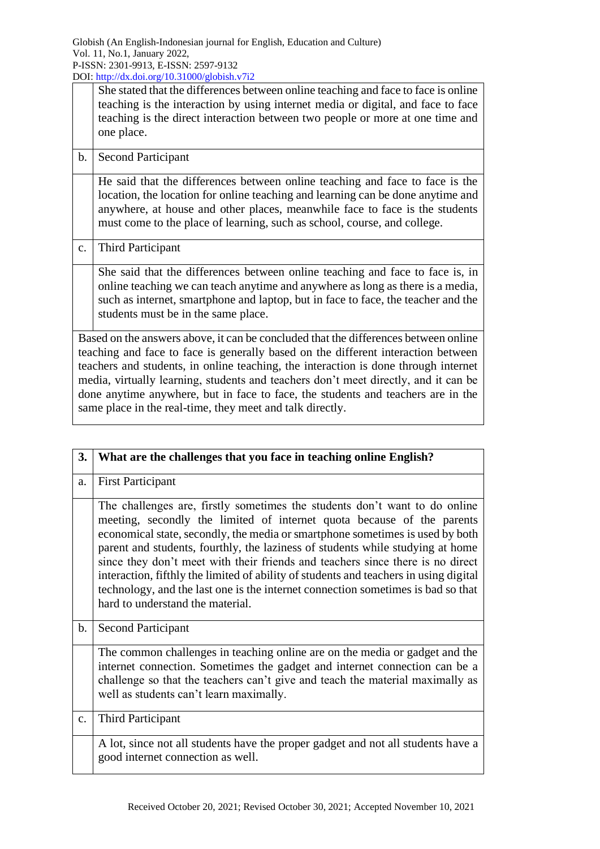She stated that the differences between online teaching and face to face is online teaching is the interaction by using internet media or digital, and face to face teaching is the direct interaction between two people or more at one time and one place.

# b. Second Participant

He said that the differences between online teaching and face to face is the location, the location for online teaching and learning can be done anytime and anywhere, at house and other places, meanwhile face to face is the students must come to the place of learning, such as school, course, and college.

# c. Third Participant

She said that the differences between online teaching and face to face is, in online teaching we can teach anytime and anywhere as long as there is a media, such as internet, smartphone and laptop, but in face to face, the teacher and the students must be in the same place.

Based on the answers above, it can be concluded that the differences between online teaching and face to face is generally based on the different interaction between teachers and students, in online teaching, the interaction is done through internet media, virtually learning, students and teachers don't meet directly, and it can be done anytime anywhere, but in face to face, the students and teachers are in the same place in the real-time, they meet and talk directly.

| 3. | What are the challenges that you face in teaching online English?                                                                                                                                                                                                                                                                                                                                                                                                                                                                                                                                                          |
|----|----------------------------------------------------------------------------------------------------------------------------------------------------------------------------------------------------------------------------------------------------------------------------------------------------------------------------------------------------------------------------------------------------------------------------------------------------------------------------------------------------------------------------------------------------------------------------------------------------------------------------|
| a. | <b>First Participant</b>                                                                                                                                                                                                                                                                                                                                                                                                                                                                                                                                                                                                   |
|    | The challenges are, firstly sometimes the students don't want to do online<br>meeting, secondly the limited of internet quota because of the parents<br>economical state, secondly, the media or smartphone sometimes is used by both<br>parent and students, fourthly, the laziness of students while studying at home<br>since they don't meet with their friends and teachers since there is no direct<br>interaction, fifthly the limited of ability of students and teachers in using digital<br>technology, and the last one is the internet connection sometimes is bad so that<br>hard to understand the material. |
| b. | <b>Second Participant</b>                                                                                                                                                                                                                                                                                                                                                                                                                                                                                                                                                                                                  |
|    | The common challenges in teaching online are on the media or gadget and the<br>internet connection. Sometimes the gadget and internet connection can be a<br>challenge so that the teachers can't give and teach the material maximally as<br>well as students can't learn maximally.                                                                                                                                                                                                                                                                                                                                      |
| c. | <b>Third Participant</b>                                                                                                                                                                                                                                                                                                                                                                                                                                                                                                                                                                                                   |
|    | A lot, since not all students have the proper gadget and not all students have a<br>good internet connection as well.                                                                                                                                                                                                                                                                                                                                                                                                                                                                                                      |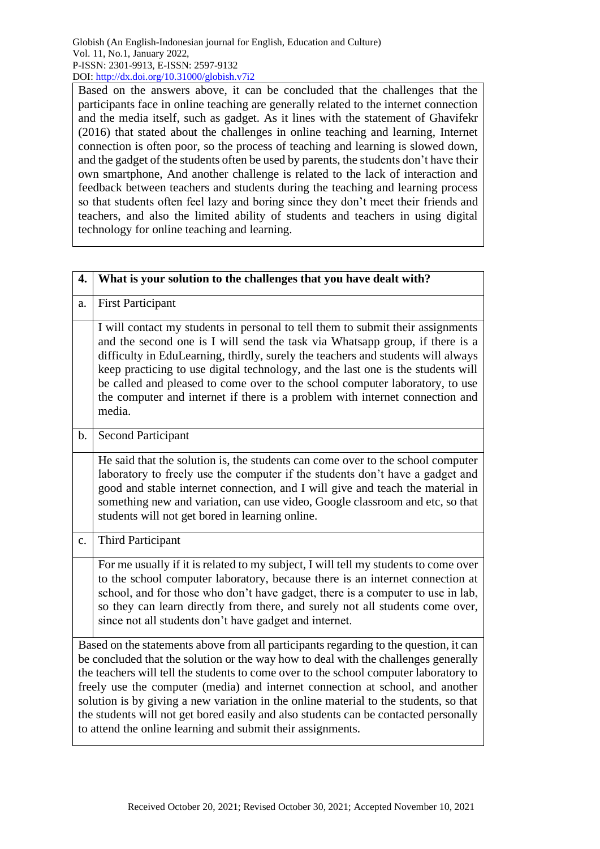Based on the answers above, it can be concluded that the challenges that the participants face in online teaching are generally related to the internet connection and the media itself, such as gadget. As it lines with the statement of Ghavifekr (2016) that stated about the challenges in online teaching and learning, Internet connection is often poor, so the process of teaching and learning is slowed down, and the gadget of the students often be used by parents, the students don't have their own smartphone, And another challenge is related to the lack of interaction and feedback between teachers and students during the teaching and learning process so that students often feel lazy and boring since they don't meet their friends and teachers, and also the limited ability of students and teachers in using digital technology for online teaching and learning.

| 4.             | What is your solution to the challenges that you have dealt with?                                                                                                                                                                                                                                                                                                                                                                                                                                                                                                                                       |
|----------------|---------------------------------------------------------------------------------------------------------------------------------------------------------------------------------------------------------------------------------------------------------------------------------------------------------------------------------------------------------------------------------------------------------------------------------------------------------------------------------------------------------------------------------------------------------------------------------------------------------|
| a.             | <b>First Participant</b>                                                                                                                                                                                                                                                                                                                                                                                                                                                                                                                                                                                |
|                | I will contact my students in personal to tell them to submit their assignments<br>and the second one is I will send the task via Whatsapp group, if there is a<br>difficulty in EduLearning, thirdly, surely the teachers and students will always<br>keep practicing to use digital technology, and the last one is the students will<br>be called and pleased to come over to the school computer laboratory, to use<br>the computer and internet if there is a problem with internet connection and<br>media.                                                                                       |
| $\mathbf b$ .  | <b>Second Participant</b>                                                                                                                                                                                                                                                                                                                                                                                                                                                                                                                                                                               |
|                | He said that the solution is, the students can come over to the school computer<br>laboratory to freely use the computer if the students don't have a gadget and<br>good and stable internet connection, and I will give and teach the material in<br>something new and variation, can use video, Google classroom and etc, so that<br>students will not get bored in learning online.                                                                                                                                                                                                                  |
| $\mathbf{c}$ . | <b>Third Participant</b>                                                                                                                                                                                                                                                                                                                                                                                                                                                                                                                                                                                |
|                | For me usually if it is related to my subject, I will tell my students to come over<br>to the school computer laboratory, because there is an internet connection at<br>school, and for those who don't have gadget, there is a computer to use in lab,<br>so they can learn directly from there, and surely not all students come over,<br>since not all students don't have gadget and internet.                                                                                                                                                                                                      |
|                | Based on the statements above from all participants regarding to the question, it can<br>be concluded that the solution or the way how to deal with the challenges generally<br>the teachers will tell the students to come over to the school computer laboratory to<br>freely use the computer (media) and internet connection at school, and another<br>solution is by giving a new variation in the online material to the students, so that<br>the students will not get bored easily and also students can be contacted personally<br>to attend the online learning and submit their assignments. |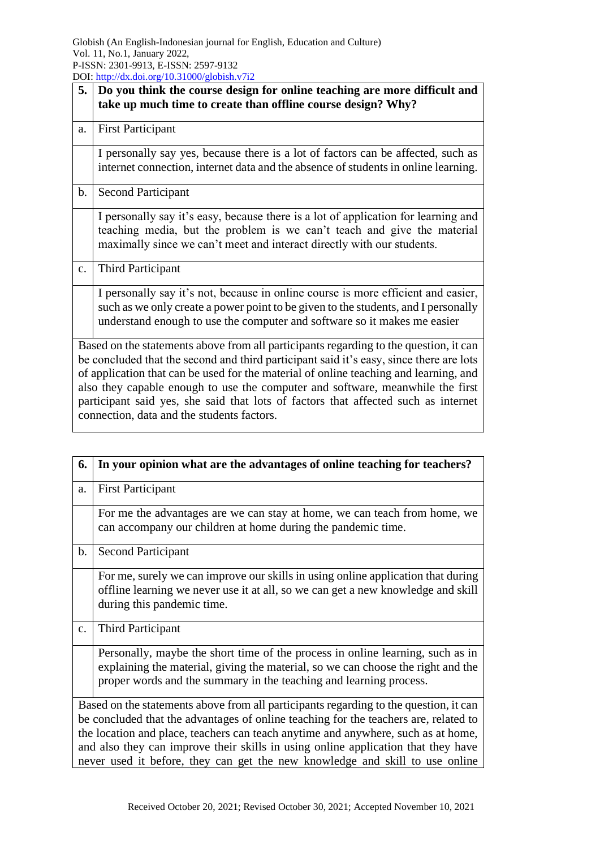| 5.             | Do you think the course design for online teaching are more difficult and                                                                                                                                                                                                                                                                                                                                                                                                                       |
|----------------|-------------------------------------------------------------------------------------------------------------------------------------------------------------------------------------------------------------------------------------------------------------------------------------------------------------------------------------------------------------------------------------------------------------------------------------------------------------------------------------------------|
|                | take up much time to create than offline course design? Why?                                                                                                                                                                                                                                                                                                                                                                                                                                    |
| a.             | <b>First Participant</b>                                                                                                                                                                                                                                                                                                                                                                                                                                                                        |
|                | I personally say yes, because there is a lot of factors can be affected, such as<br>internet connection, internet data and the absence of students in online learning.                                                                                                                                                                                                                                                                                                                          |
| b.             | <b>Second Participant</b>                                                                                                                                                                                                                                                                                                                                                                                                                                                                       |
|                | I personally say it's easy, because there is a lot of application for learning and<br>teaching media, but the problem is we can't teach and give the material<br>maximally since we can't meet and interact directly with our students.                                                                                                                                                                                                                                                         |
| $\mathbf{c}$ . | Third Participant                                                                                                                                                                                                                                                                                                                                                                                                                                                                               |
|                | I personally say it's not, because in online course is more efficient and easier,<br>such as we only create a power point to be given to the students, and I personally<br>understand enough to use the computer and software so it makes me easier                                                                                                                                                                                                                                             |
|                | Based on the statements above from all participants regarding to the question, it can<br>be concluded that the second and third participant said it's easy, since there are lots<br>of application that can be used for the material of online teaching and learning, and<br>also they capable enough to use the computer and software, meanwhile the first<br>participant said yes, she said that lots of factors that affected such as internet<br>connection, data and the students factors. |

| 6.            | In your opinion what are the advantages of online teaching for teachers?                                                                                                                                                                                                                                                                                                                                                                |
|---------------|-----------------------------------------------------------------------------------------------------------------------------------------------------------------------------------------------------------------------------------------------------------------------------------------------------------------------------------------------------------------------------------------------------------------------------------------|
| a.            | <b>First Participant</b>                                                                                                                                                                                                                                                                                                                                                                                                                |
|               | For me the advantages are we can stay at home, we can teach from home, we<br>can accompany our children at home during the pandemic time.                                                                                                                                                                                                                                                                                               |
| $\mathbf b$ . | <b>Second Participant</b>                                                                                                                                                                                                                                                                                                                                                                                                               |
|               | For me, surely we can improve our skills in using online application that during<br>offline learning we never use it at all, so we can get a new knowledge and skill<br>during this pandemic time.                                                                                                                                                                                                                                      |
| c.            | Third Participant                                                                                                                                                                                                                                                                                                                                                                                                                       |
|               | Personally, maybe the short time of the process in online learning, such as in<br>explaining the material, giving the material, so we can choose the right and the<br>proper words and the summary in the teaching and learning process.                                                                                                                                                                                                |
|               | Based on the statements above from all participants regarding to the question, it can<br>be concluded that the advantages of online teaching for the teachers are, related to<br>the location and place, teachers can teach anytime and anywhere, such as at home,<br>and also they can improve their skills in using online application that they have<br>never used it before, they can get the new knowledge and skill to use online |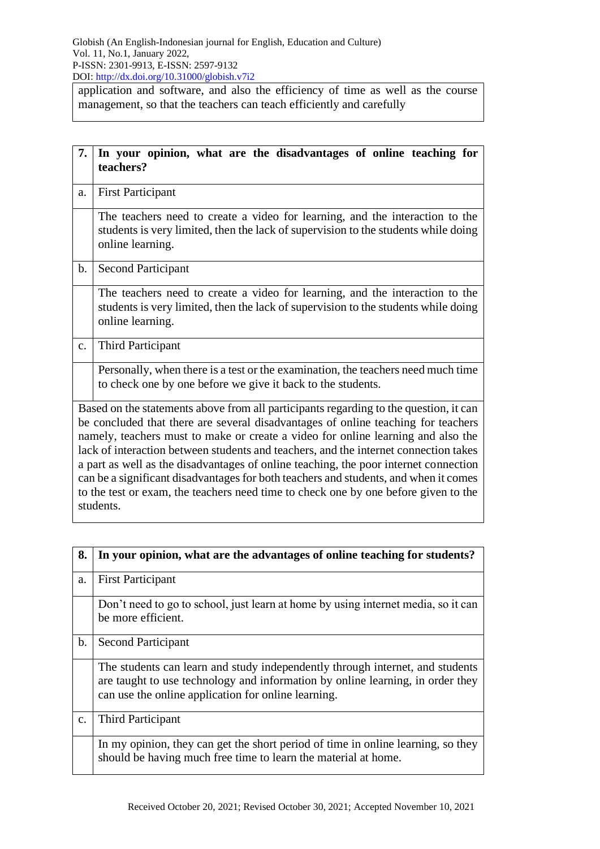application and software, and also the efficiency of time as well as the course management, so that the teachers can teach efficiently and carefully

| 7.            | In your opinion, what are the disadvantages of online teaching for<br>teachers?                                                                                                                                                                                                                                                                                                                                                                                                                                                                                                                                                            |  |
|---------------|--------------------------------------------------------------------------------------------------------------------------------------------------------------------------------------------------------------------------------------------------------------------------------------------------------------------------------------------------------------------------------------------------------------------------------------------------------------------------------------------------------------------------------------------------------------------------------------------------------------------------------------------|--|
| a.            | <b>First Participant</b>                                                                                                                                                                                                                                                                                                                                                                                                                                                                                                                                                                                                                   |  |
|               | The teachers need to create a video for learning, and the interaction to the<br>students is very limited, then the lack of supervision to the students while doing<br>online learning.                                                                                                                                                                                                                                                                                                                                                                                                                                                     |  |
| $\mathbf b$ . | <b>Second Participant</b>                                                                                                                                                                                                                                                                                                                                                                                                                                                                                                                                                                                                                  |  |
|               | The teachers need to create a video for learning, and the interaction to the<br>students is very limited, then the lack of supervision to the students while doing<br>online learning.                                                                                                                                                                                                                                                                                                                                                                                                                                                     |  |
| c.            | <b>Third Participant</b>                                                                                                                                                                                                                                                                                                                                                                                                                                                                                                                                                                                                                   |  |
|               | Personally, when there is a test or the examination, the teachers need much time<br>to check one by one before we give it back to the students.                                                                                                                                                                                                                                                                                                                                                                                                                                                                                            |  |
|               | Based on the statements above from all participants regarding to the question, it can<br>be concluded that there are several disadvantages of online teaching for teachers<br>namely, teachers must to make or create a video for online learning and also the<br>lack of interaction between students and teachers, and the internet connection takes<br>a part as well as the disadvantages of online teaching, the poor internet connection<br>can be a significant disadvantages for both teachers and students, and when it comes<br>to the test or exam, the teachers need time to check one by one before given to the<br>students. |  |

| 8. | In your opinion, what are the advantages of online teaching for students?                                                                                                                                              |
|----|------------------------------------------------------------------------------------------------------------------------------------------------------------------------------------------------------------------------|
| a. | <b>First Participant</b>                                                                                                                                                                                               |
|    | Don't need to go to school, just learn at home by using internet media, so it can<br>be more efficient.                                                                                                                |
| b. | <b>Second Participant</b>                                                                                                                                                                                              |
|    | The students can learn and study independently through internet, and students<br>are taught to use technology and information by online learning, in order they<br>can use the online application for online learning. |
| c. | Third Participant                                                                                                                                                                                                      |
|    | In my opinion, they can get the short period of time in online learning, so they<br>should be having much free time to learn the material at home.                                                                     |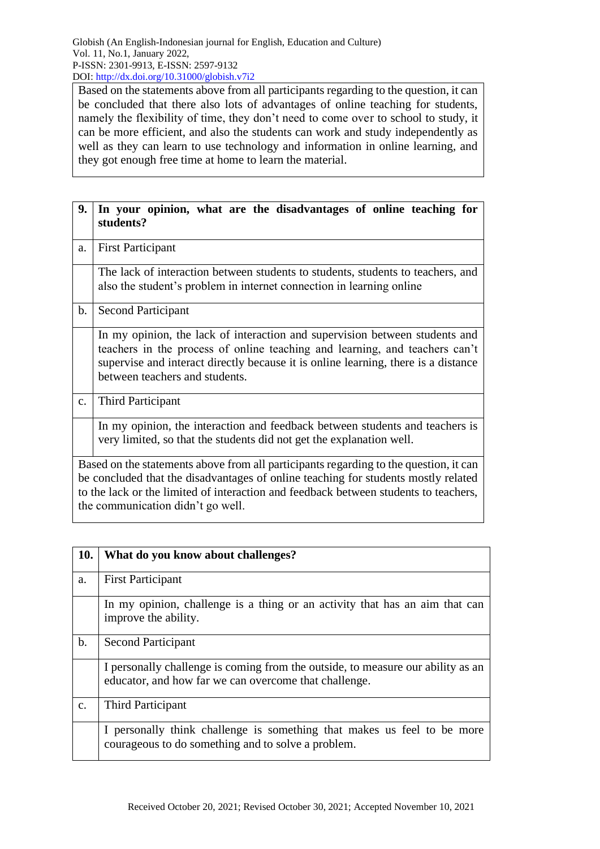Based on the statements above from all participants regarding to the question, it can be concluded that there also lots of advantages of online teaching for students, namely the flexibility of time, they don't need to come over to school to study, it can be more efficient, and also the students can work and study independently as well as they can learn to use technology and information in online learning, and they got enough free time at home to learn the material.

| 9.            | In your opinion, what are the disadvantages of online teaching for<br>students?                                                                                                                                                                                                                          |
|---------------|----------------------------------------------------------------------------------------------------------------------------------------------------------------------------------------------------------------------------------------------------------------------------------------------------------|
| a.            | <b>First Participant</b>                                                                                                                                                                                                                                                                                 |
|               | The lack of interaction between students to students, students to teachers, and<br>also the student's problem in internet connection in learning online                                                                                                                                                  |
| b.            | <b>Second Participant</b>                                                                                                                                                                                                                                                                                |
|               | In my opinion, the lack of interaction and supervision between students and<br>teachers in the process of online teaching and learning, and teachers can't<br>supervise and interact directly because it is online learning, there is a distance<br>between teachers and students.                       |
| $C_{\bullet}$ | <b>Third Participant</b>                                                                                                                                                                                                                                                                                 |
|               | In my opinion, the interaction and feedback between students and teachers is<br>very limited, so that the students did not get the explanation well.                                                                                                                                                     |
|               | Based on the statements above from all participants regarding to the question, it can<br>be concluded that the disadvantages of online teaching for students mostly related<br>to the lack or the limited of interaction and feedback between students to teachers,<br>the communication didn't go well. |

| <b>10.</b>     | What do you know about challenges?                                                                                                       |
|----------------|------------------------------------------------------------------------------------------------------------------------------------------|
| a.             | <b>First Participant</b>                                                                                                                 |
|                | In my opinion, challenge is a thing or an activity that has an aim that can<br>improve the ability.                                      |
| $\mathbf b$ .  | <b>Second Participant</b>                                                                                                                |
|                | I personally challenge is coming from the outside, to measure our ability as an<br>educator, and how far we can overcome that challenge. |
| $\mathbf{C}$ . | Third Participant                                                                                                                        |
|                | I personally think challenge is something that makes us feel to be more<br>courageous to do something and to solve a problem.            |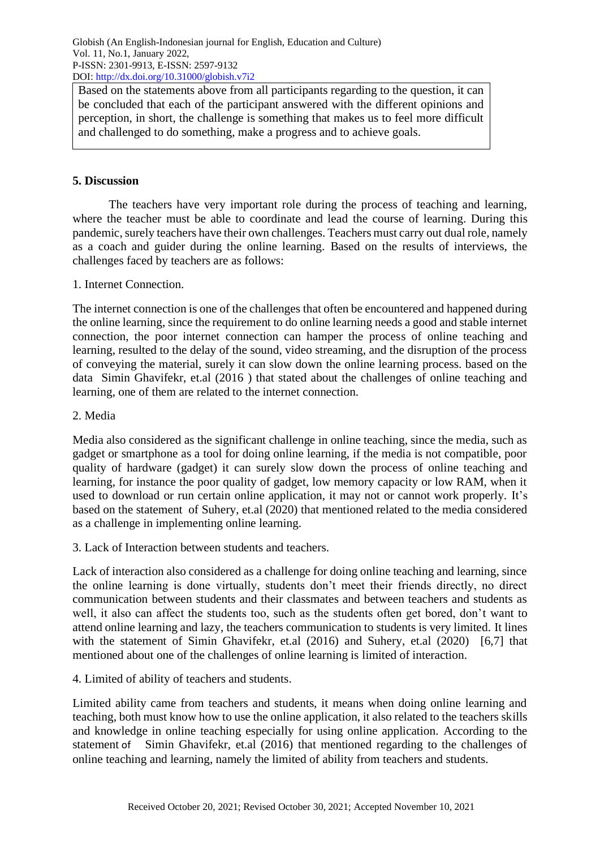Based on the statements above from all participants regarding to the question, it can be concluded that each of the participant answered with the different opinions and perception, in short, the challenge is something that makes us to feel more difficult and challenged to do something, make a progress and to achieve goals.

## **5. Discussion**

The teachers have very important role during the process of teaching and learning, where the teacher must be able to coordinate and lead the course of learning. During this pandemic, surely teachers have their own challenges. Teachers must carry out dual role, namely as a coach and guider during the online learning. Based on the results of interviews, the challenges faced by teachers are as follows:

## 1. Internet Connection.

The internet connection is one of the challenges that often be encountered and happened during the online learning, since the requirement to do online learning needs a good and stable internet connection, the poor internet connection can hamper the process of online teaching and learning, resulted to the delay of the sound, video streaming, and the disruption of the process of conveying the material, surely it can slow down the online learning process. based on the data Simin Ghavifekr, et.al (2016 ) that stated about the challenges of online teaching and learning, one of them are related to the internet connection.

## 2. Media

Media also considered as the significant challenge in online teaching, since the media, such as gadget or smartphone as a tool for doing online learning, if the media is not compatible, poor quality of hardware (gadget) it can surely slow down the process of online teaching and learning, for instance the poor quality of gadget, low memory capacity or low RAM, when it used to download or run certain online application, it may not or cannot work properly. It's based on the statement of Suhery, et.al (2020) that mentioned related to the media considered as a challenge in implementing online learning.

3. Lack of Interaction between students and teachers.

Lack of interaction also considered as a challenge for doing online teaching and learning, since the online learning is done virtually, students don't meet their friends directly, no direct communication between students and their classmates and between teachers and students as well, it also can affect the students too, such as the students often get bored, don't want to attend online learning and lazy, the teachers communication to students is very limited. It lines with the statement of Simin Ghavifekr, et.al (2016) and Suhery, et.al (2020) [6,7] that mentioned about one of the challenges of online learning is limited of interaction.

4. Limited of ability of teachers and students.

Limited ability came from teachers and students, it means when doing online learning and teaching, both must know how to use the online application, it also related to the teachers skills and knowledge in online teaching especially for using online application. According to the statement of Simin Ghavifekr, et.al (2016) that mentioned regarding to the challenges of online teaching and learning, namely the limited of ability from teachers and students.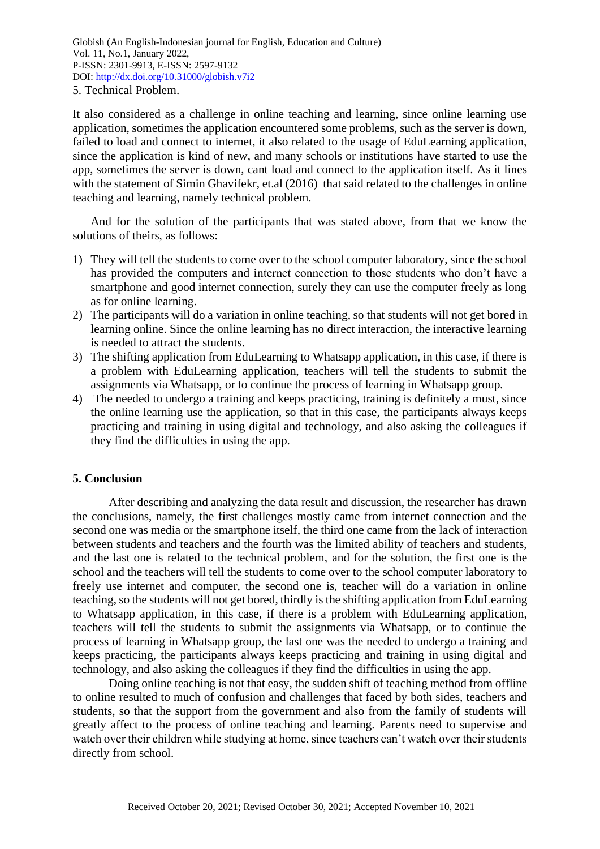It also considered as a challenge in online teaching and learning, since online learning use application, sometimes the application encountered some problems, such as the server is down, failed to load and connect to internet, it also related to the usage of EduLearning application, since the application is kind of new, and many schools or institutions have started to use the app, sometimes the server is down, cant load and connect to the application itself. As it lines with the statement of Simin Ghavifekr, et.al (2016) that said related to the challenges in online teaching and learning, namely technical problem.

And for the solution of the participants that was stated above, from that we know the solutions of theirs, as follows:

- 1) They will tell the students to come over to the school computer laboratory, since the school has provided the computers and internet connection to those students who don't have a smartphone and good internet connection, surely they can use the computer freely as long as for online learning.
- 2) The participants will do a variation in online teaching, so that students will not get bored in learning online. Since the online learning has no direct interaction, the interactive learning is needed to attract the students.
- 3) The shifting application from EduLearning to Whatsapp application, in this case, if there is a problem with EduLearning application, teachers will tell the students to submit the assignments via Whatsapp, or to continue the process of learning in Whatsapp group.
- 4) The needed to undergo a training and keeps practicing, training is definitely a must, since the online learning use the application, so that in this case, the participants always keeps practicing and training in using digital and technology, and also asking the colleagues if they find the difficulties in using the app.

#### **5. Conclusion**

After describing and analyzing the data result and discussion, the researcher has drawn the conclusions, namely, the first challenges mostly came from internet connection and the second one was media or the smartphone itself, the third one came from the lack of interaction between students and teachers and the fourth was the limited ability of teachers and students, and the last one is related to the technical problem, and for the solution, the first one is the school and the teachers will tell the students to come over to the school computer laboratory to freely use internet and computer, the second one is, teacher will do a variation in online teaching, so the students will not get bored, thirdly is the shifting application from EduLearning to Whatsapp application, in this case, if there is a problem with EduLearning application, teachers will tell the students to submit the assignments via Whatsapp, or to continue the process of learning in Whatsapp group, the last one was the needed to undergo a training and keeps practicing, the participants always keeps practicing and training in using digital and technology, and also asking the colleagues if they find the difficulties in using the app.

Doing online teaching is not that easy, the sudden shift of teaching method from offline to online resulted to much of confusion and challenges that faced by both sides, teachers and students, so that the support from the government and also from the family of students will greatly affect to the process of online teaching and learning. Parents need to supervise and watch over their children while studying at home, since teachers can't watch over their students directly from school.